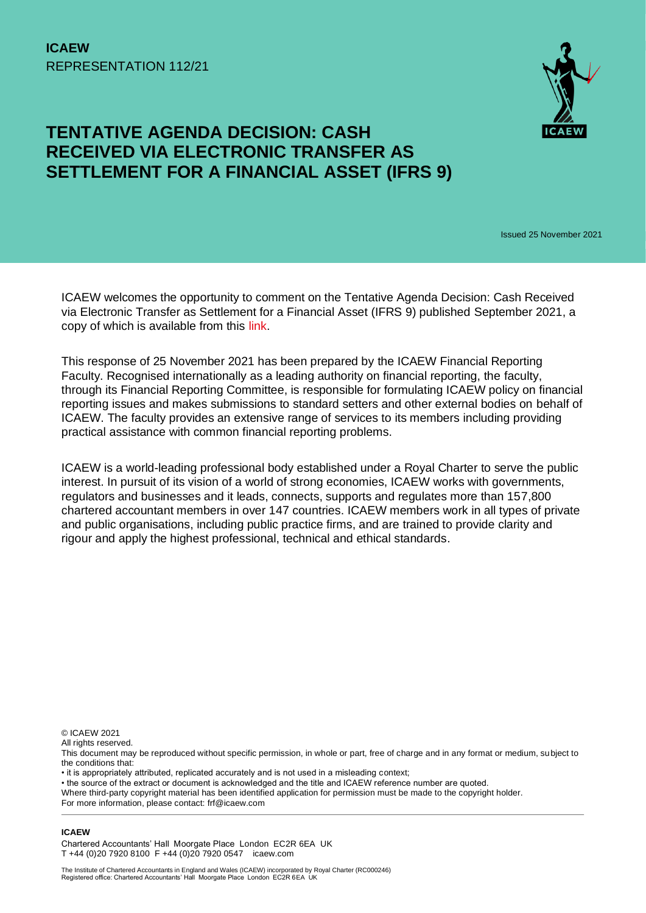

## **TENTATIVE AGENDA DECISION: CASH RECEIVED VIA ELECTRONIC TRANSFER AS SETTLEMENT FOR A FINANCIAL ASSET (IFRS 9)**

Issued 25 November 2021

ICAEW welcomes the opportunity to comment on the Tentative Agenda Decision: Cash Received via Electronic Transfer as Settlement for a Financial Asset (IFRS 9) published September 2021, a copy of which is available from this [link.](https://www.ifrs.org/projects/work-plan/cash-received-via-electronic-transfer-as-settlement-for-a-financ/tentative-agenda-decision-and-comment-letters/)

This response of 25 November 2021 has been prepared by the ICAEW Financial Reporting Faculty. Recognised internationally as a leading authority on financial reporting, the faculty, through its Financial Reporting Committee, is responsible for formulating ICAEW policy on financial reporting issues and makes submissions to standard setters and other external bodies on behalf of ICAEW. The faculty provides an extensive range of services to its members including providing practical assistance with common financial reporting problems.

ICAEW is a world-leading professional body established under a Royal Charter to serve the public interest. In pursuit of its vision of a world of strong economies, ICAEW works with governments, regulators and businesses and it leads, connects, supports and regulates more than 157,800 chartered accountant members in over 147 countries. ICAEW members work in all types of private and public organisations, including public practice firms, and are trained to provide clarity and rigour and apply the highest professional, technical and ethical standards.

© ICAEW 2021

All rights reserved.

- it is appropriately attributed, replicated accurately and is not used in a misleading context;
- the source of the extract or document is acknowledged and the title and ICAEW reference number are quoted.

Where third-party copyright material has been identified application for permission must be made to the copyright holder. For more information, please contact: frf@icaew.com

**ICAEW** 

Chartered Accountants' Hall Moorgate Place London EC2R 6EA UK T +44 (0)20 7920 8100 F +44 (0)20 7920 0547 icaew.com

This document may be reproduced without specific permission, in whole or part, free of charge and in any format or medium, subject to the conditions that: